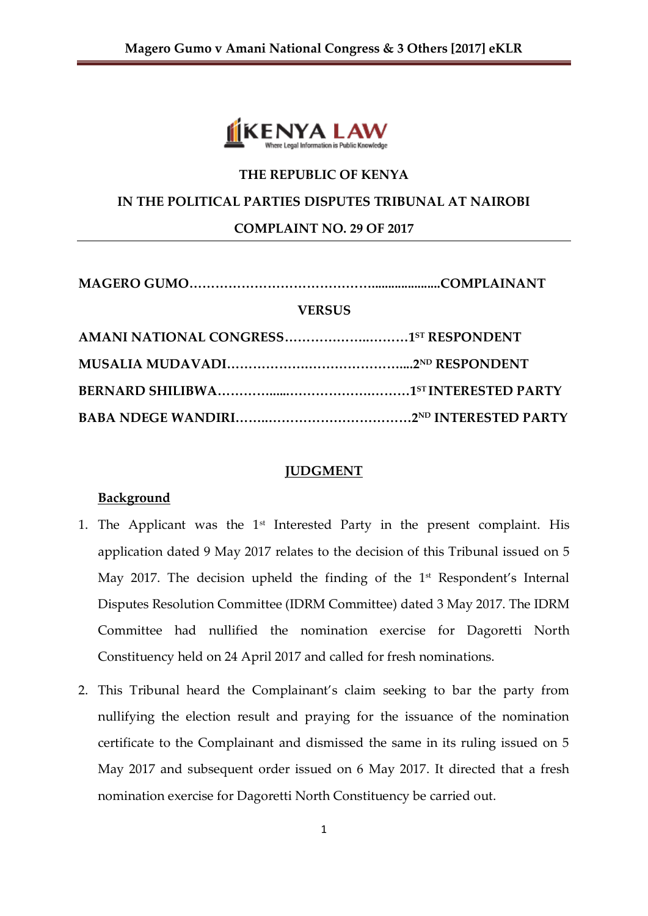

# **THE REPUBLIC OF KENYA IN THE POLITICAL PARTIES DISPUTES TRIBUNAL AT NAIROBI COMPLAINT NO. 29 OF 2017**

| <b>VERSUS</b> |  |  |
|---------------|--|--|
|               |  |  |
|               |  |  |
|               |  |  |
|               |  |  |

### **JUDGMENT**

## **Background**

- 1. The Applicant was the  $1<sup>st</sup>$  Interested Party in the present complaint. His application dated 9 May 2017 relates to the decision of this Tribunal issued on 5 May 2017. The decision upheld the finding of the 1<sup>st</sup> Respondent's Internal Disputes Resolution Committee (IDRM Committee) dated 3 May 2017. The IDRM Committee had nullified the nomination exercise for Dagoretti North Constituency held on 24 April 2017 and called for fresh nominations.
- 2. This Tribunal heard the Complainant's claim seeking to bar the party from nullifying the election result and praying for the issuance of the nomination certificate to the Complainant and dismissed the same in its ruling issued on 5 May 2017 and subsequent order issued on 6 May 2017. It directed that a fresh nomination exercise for Dagoretti North Constituency be carried out.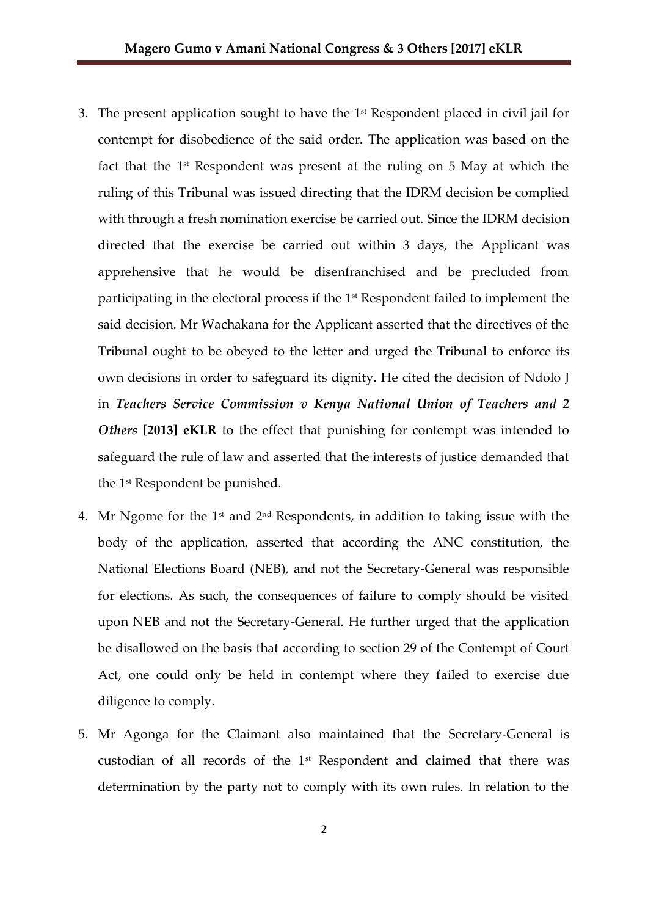- 3. The present application sought to have the  $1<sup>st</sup>$  Respondent placed in civil jail for contempt for disobedience of the said order. The application was based on the fact that the 1<sup>st</sup> Respondent was present at the ruling on 5 May at which the ruling of this Tribunal was issued directing that the IDRM decision be complied with through a fresh nomination exercise be carried out. Since the IDRM decision directed that the exercise be carried out within 3 days, the Applicant was apprehensive that he would be disenfranchised and be precluded from participating in the electoral process if the  $1<sup>st</sup>$  Respondent failed to implement the said decision. Mr Wachakana for the Applicant asserted that the directives of the Tribunal ought to be obeyed to the letter and urged the Tribunal to enforce its own decisions in order to safeguard its dignity. He cited the decision of Ndolo J in *Teachers Service Commission v Kenya National Union of Teachers and 2 Others* **[2013] eKLR** to the effect that punishing for contempt was intended to safeguard the rule of law and asserted that the interests of justice demanded that the 1st Respondent be punished.
- 4. Mr Ngome for the  $1<sup>st</sup>$  and  $2<sup>nd</sup>$  Respondents, in addition to taking issue with the body of the application, asserted that according the ANC constitution, the National Elections Board (NEB), and not the Secretary-General was responsible for elections. As such, the consequences of failure to comply should be visited upon NEB and not the Secretary-General. He further urged that the application be disallowed on the basis that according to section 29 of the Contempt of Court Act, one could only be held in contempt where they failed to exercise due diligence to comply.
- 5. Mr Agonga for the Claimant also maintained that the Secretary-General is custodian of all records of the 1st Respondent and claimed that there was determination by the party not to comply with its own rules. In relation to the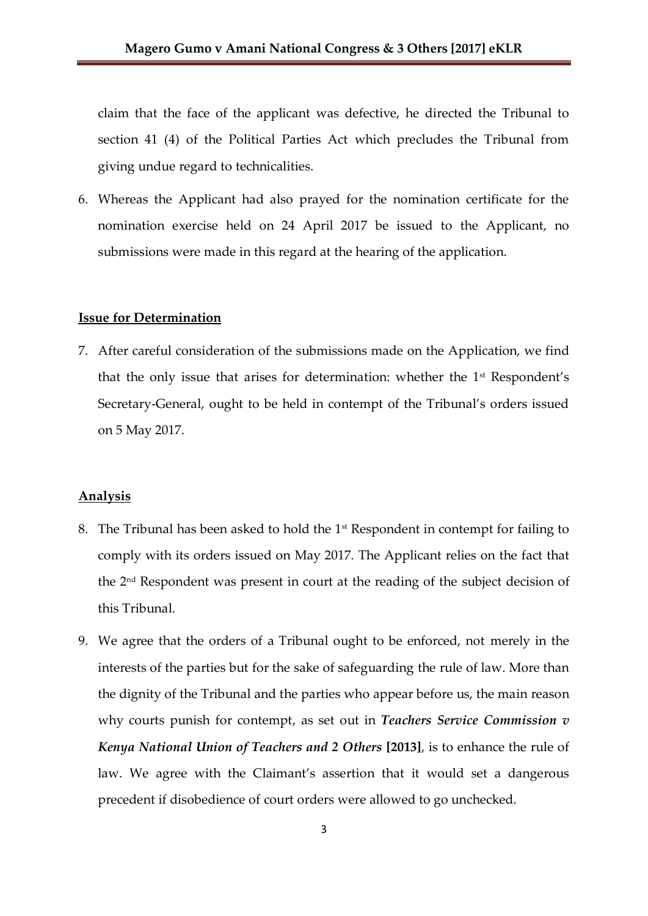claim that the face of the applicant was defective, he directed the Tribunal to section 41 (4) of the Political Parties Act which precludes the Tribunal from giving undue regard to technicalities.

6. Whereas the Applicant had also prayed for the nomination certificate for the nomination exercise held on 24 April 2017 be issued to the Applicant, no submissions were made in this regard at the hearing of the application.

#### **Issue for Determination**

7. After careful consideration of the submissions made on the Application, we find that the only issue that arises for determination: whether the  $1<sup>st</sup>$  Respondent's Secretary-General, ought to be held in contempt of the Tribunal's orders issued on 5 May 2017.

#### **Analysis**

- 8. The Tribunal has been asked to hold the 1st Respondent in contempt for failing to comply with its orders issued on May 2017. The Applicant relies on the fact that the 2nd Respondent was present in court at the reading of the subject decision of this Tribunal.
- 9. We agree that the orders of a Tribunal ought to be enforced, not merely in the interests of the parties but for the sake of safeguarding the rule of law. More than the dignity of the Tribunal and the parties who appear before us, the main reason why courts punish for contempt, as set out in *Teachers Service Commission v Kenya National Union of Teachers and 2 Others* **[2013]**, is to enhance the rule of law. We agree with the Claimant's assertion that it would set a dangerous precedent if disobedience of court orders were allowed to go unchecked.